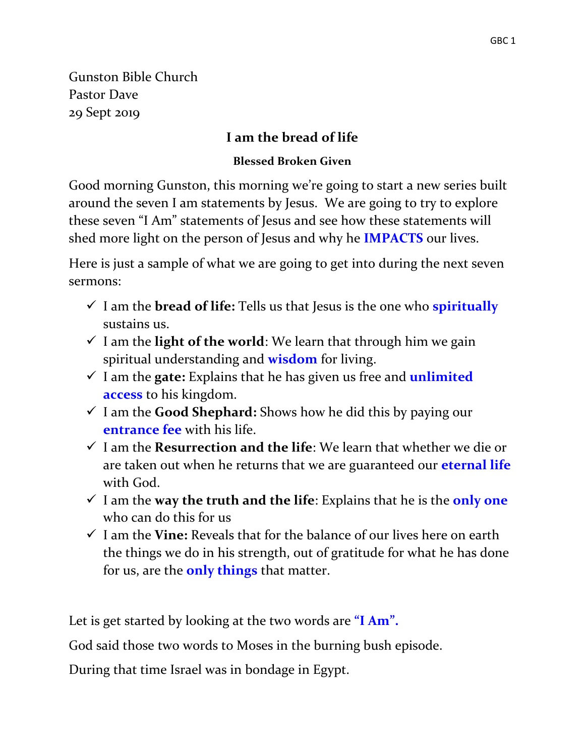Gunston Bible Church Pastor Dave 29 Sept 2019

### **I am the bread of life**

#### **Blessed Broken Given**

Good morning Gunston, this morning we're going to start a new series built around the seven I am statements by Jesus. We are going to try to explore these seven "I Am" statements of Jesus and see how these statements will shed more light on the person of Jesus and why he **IMPACTS** our lives.

Here is just a sample of what we are going to get into during the next seven sermons:

- $\checkmark$  I am the **bread of life:** Tells us that Jesus is the one who **spiritually** sustains us.
- $\checkmark$  I am the **light of the world**: We learn that through him we gain spiritual understanding and **wisdom** for living.
- $\checkmark$  I am the **gate:** Explains that he has given us free and **unlimited access** to his kingdom.
- I am the **Good Shephard:** Shows how he did this by paying our **entrance fee** with his life.
- I am the **Resurrection and the life**: We learn that whether we die or are taken out when he returns that we are guaranteed our **eternal life** with God.
- $\checkmark$  I am the **way the truth and the life**: Explains that he is the **only one** who can do this for us
- $\checkmark$  I am the **Vine:** Reveals that for the balance of our lives here on earth the things we do in his strength, out of gratitude for what he has done for us, are the **only things** that matter.

Let is get started by looking at the two words are **"I Am".**

God said those two words to Moses in the burning bush episode.

During that time Israel was in bondage in Egypt.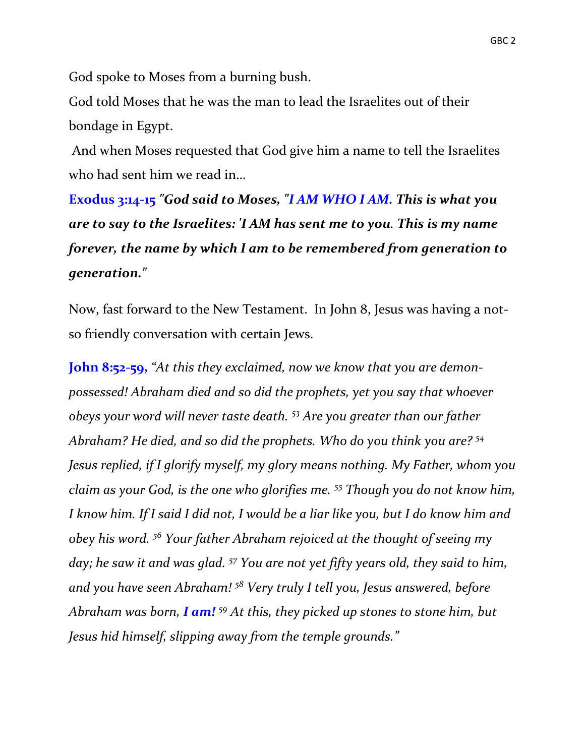God spoke to Moses from a burning bush.

God told Moses that he was the man to lead the Israelites out of their bondage in Egypt.

And when Moses requested that God give him a name to tell the Israelites who had sent him we read in…

**Exodus 3:14-15** *"God said to Moses, "I AM WHO I AM. This is what you are to say to the Israelites: 'I AM has sent me to you. This is my name forever, the name by which I am to be remembered from generation to generation."* 

Now, fast forward to the New Testament. In John 8, Jesus was having a notso friendly conversation with certain Jews.

**John 8:52-59,** *"At this they exclaimed, now we know that you are demonpossessed! Abraham died and so did the prophets, yet you say that whoever obeys your word will never taste death. <sup>53</sup> Are you greater than our father Abraham? He died, and so did the prophets. Who do you think you are? <sup>54</sup> Jesus replied, if I glorify myself, my glory means nothing. My Father, whom you claim as your God, is the one who glorifies me. <sup>55</sup> Though you do not know him, I know him. If I said I did not, I would be a liar like you, but I do know him and obey his word. <sup>56</sup> Your father Abraham rejoiced at the thought of seeing my day; he saw it and was glad. <sup>57</sup> You are not yet fifty years old, they said to him, and you have seen Abraham! <sup>58</sup> Very truly I tell you, Jesus answered, before Abraham was born, I am! <sup>59</sup> At this, they picked up stones to stone him, but Jesus hid himself, slipping away from the temple grounds."*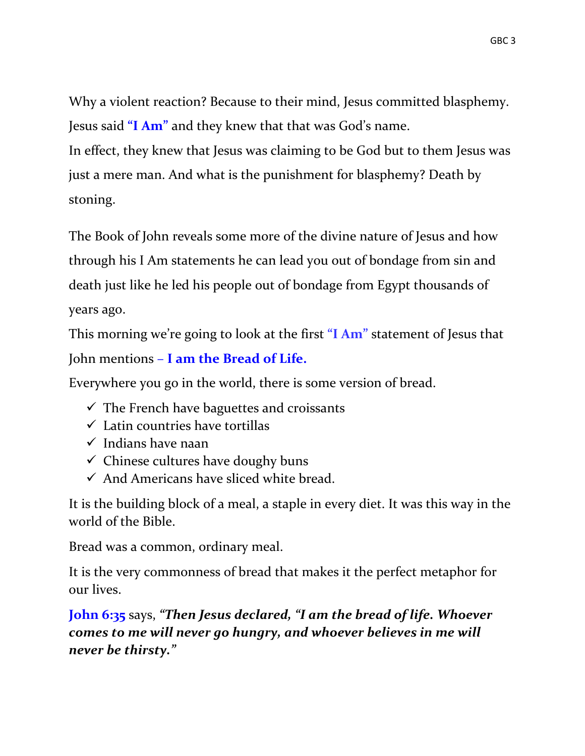Why a violent reaction? Because to their mind, Jesus committed blasphemy. Jesus said **"I Am"** and they knew that that was God's name.

In effect, they knew that Jesus was claiming to be God but to them Jesus was just a mere man. And what is the punishment for blasphemy? Death by stoning.

The Book of John reveals some more of the divine nature of Jesus and how through his I Am statements he can lead you out of bondage from sin and death just like he led his people out of bondage from Egypt thousands of years ago.

This morning we're going to look at the first **"I Am"** statement of Jesus that John mentions – **I am the Bread of Life.**

Everywhere you go in the world, there is some version of bread.

- $\checkmark$  The French have baguettes and croissants
- $\checkmark$  Latin countries have tortillas
- $\checkmark$  Indians have naan
- $\checkmark$  Chinese cultures have doughy buns
- $\checkmark$  And Americans have sliced white bread.

It is the building block of a meal, a staple in every diet. It was this way in the world of the Bible.

Bread was a common, ordinary meal.

It is the very commonness of bread that makes it the perfect metaphor for our lives.

**John 6:35** says, *"Then Jesus declared, "I am the bread of life. Whoever comes to me will never go hungry, and whoever believes in me will never be thirsty."*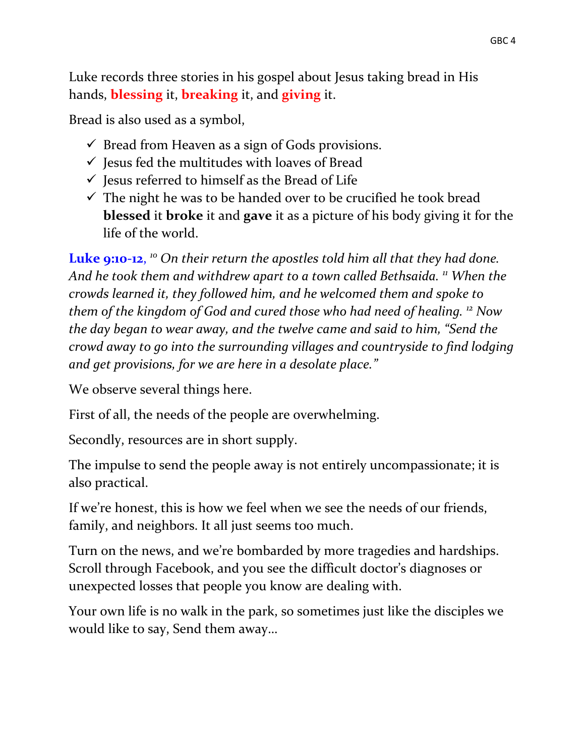Luke records three stories in his gospel about Jesus taking bread in His hands, **blessing** it, **breaking** it, and **giving** it.

Bread is also used as a symbol,

- $\checkmark$  Bread from Heaven as a sign of Gods provisions.
- $\checkmark$  Jesus fed the multitudes with loaves of Bread
- $\checkmark$  Jesus referred to himself as the Bread of Life
- $\checkmark$  The night he was to be handed over to be crucified he took bread **blessed** it **broke** it and **gave** it as a picture of his body giving it for the life of the world.

Luke 9:10-12, <sup>10</sup> On their return the apostles told him all that they had done. *And he took them and withdrew apart to a town called Bethsaida. <sup>11</sup> When the crowds learned it, they followed him, and he welcomed them and spoke to them of the kingdom of God and cured those who had need of healing. <sup>12</sup> Now the day began to wear away, and the twelve came and said to him, "Send the crowd away to go into the surrounding villages and countryside to find lodging and get provisions, for we are here in a desolate place."*

We observe several things here.

First of all, the needs of the people are overwhelming.

Secondly, resources are in short supply.

The impulse to send the people away is not entirely uncompassionate; it is also practical.

If we're honest, this is how we feel when we see the needs of our friends, family, and neighbors. It all just seems too much.

Turn on the news, and we're bombarded by more tragedies and hardships. Scroll through Facebook, and you see the difficult doctor's diagnoses or unexpected losses that people you know are dealing with.

Your own life is no walk in the park, so sometimes just like the disciples we would like to say, Send them away…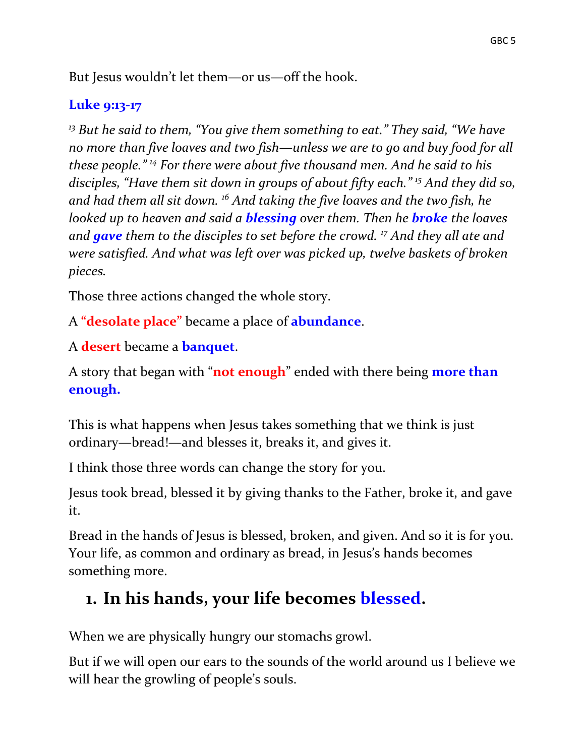But Jesus wouldn't let them—or us—off the hook.

### **Luke 9:13-17**

*<sup>13</sup> But he said to them, "You give them something to eat." They said, "We have no more than five loaves and two fish—unless we are to go and buy food for all these people." <sup>14</sup> For there were about five thousand men. And he said to his disciples, "Have them sit down in groups of about fifty each." <sup>15</sup> And they did so, and had them all sit down. <sup>16</sup> And taking the five loaves and the two fish, he looked up to heaven and said a blessing over them. Then he broke the loaves and gave them to the disciples to set before the crowd. <sup>17</sup> And they all ate and were satisfied. And what was left over was picked up, twelve baskets of broken pieces.*

Those three actions changed the whole story.

A **"desolate place"** became a place of **abundance**.

A **desert** became a **banquet**.

A story that began with "**not enough**" ended with there being **more than enough.**

This is what happens when Jesus takes something that we think is just ordinary—bread!—and blesses it, breaks it, and gives it.

I think those three words can change the story for you.

Jesus took bread, blessed it by giving thanks to the Father, broke it, and gave it.

Bread in the hands of Jesus is blessed, broken, and given. And so it is for you. Your life, as common and ordinary as bread, in Jesus's hands becomes something more.

# **1. In his hands, your life becomes blessed.**

When we are physically hungry our stomachs growl.

But if we will open our ears to the sounds of the world around us I believe we will hear the growling of people's souls.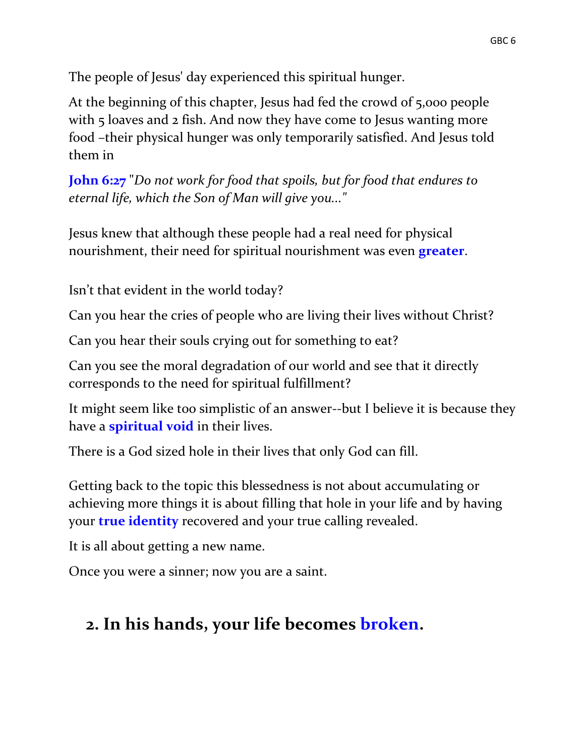The people of Jesus' day experienced this spiritual hunger.

At the beginning of this chapter, Jesus had fed the crowd of 5,000 people with 5 loaves and 2 fish. And now they have come to Jesus wanting more food –their physical hunger was only temporarily satisfied. And Jesus told them in

**John 6:27** "*Do not work for food that spoils, but for food that endures to eternal life, which the Son of Man will give you..."*

Jesus knew that although these people had a real need for physical nourishment, their need for spiritual nourishment was even **greater**.

Isn't that evident in the world today?

Can you hear the cries of people who are living their lives without Christ?

Can you hear their souls crying out for something to eat?

Can you see the moral degradation of our world and see that it directly corresponds to the need for spiritual fulfillment?

It might seem like too simplistic of an answer--but I believe it is because they have a **spiritual void** in their lives.

There is a God sized hole in their lives that only God can fill.

Getting back to the topic this blessedness is not about accumulating or achieving more things it is about filling that hole in your life and by having your **true identity** recovered and your true calling revealed.

It is all about getting a new name.

Once you were a sinner; now you are a saint.

# **2. In his hands, your life becomes broken.**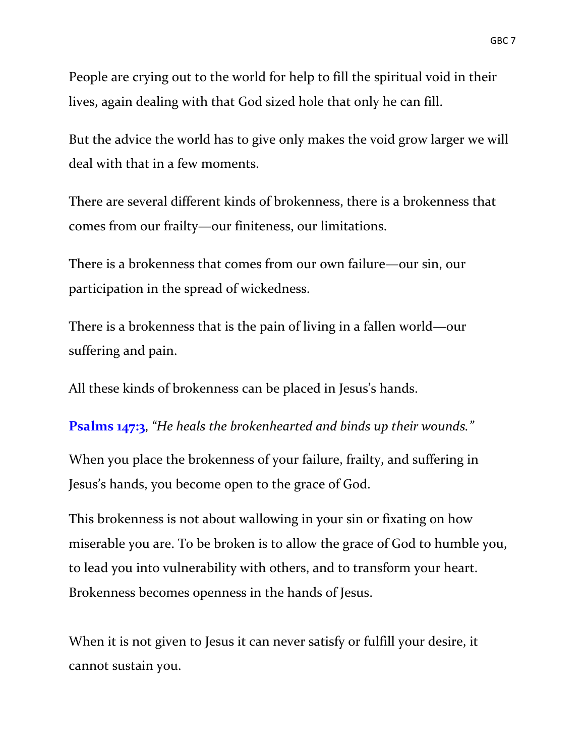People are crying out to the world for help to fill the spiritual void in their lives, again dealing with that God sized hole that only he can fill.

But the advice the world has to give only makes the void grow larger we will deal with that in a few moments.

There are several different kinds of brokenness, there is a brokenness that comes from our frailty—our finiteness, our limitations.

There is a brokenness that comes from our own failure—our sin, our participation in the spread of wickedness.

There is a brokenness that is the pain of living in a fallen world—our suffering and pain.

All these kinds of brokenness can be placed in Jesus's hands.

**Psalms 147:3**, *"He heals the brokenhearted and binds up their wounds."*

When you place the brokenness of your failure, frailty, and suffering in Jesus's hands, you become open to the grace of God.

This brokenness is not about wallowing in your sin or fixating on how miserable you are. To be broken is to allow the grace of God to humble you, to lead you into vulnerability with others, and to transform your heart. Brokenness becomes openness in the hands of Jesus.

When it is not given to Jesus it can never satisfy or fulfill your desire, it cannot sustain you.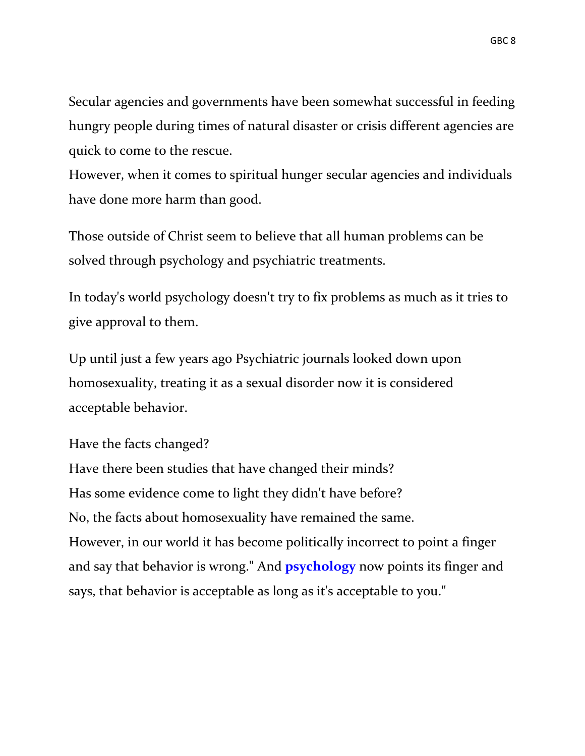Secular agencies and governments have been somewhat successful in feeding hungry people during times of natural disaster or crisis different agencies are quick to come to the rescue.

However, when it comes to spiritual hunger secular agencies and individuals have done more harm than good.

Those outside of Christ seem to believe that all human problems can be solved through psychology and psychiatric treatments.

In today's world psychology doesn't try to fix problems as much as it tries to give approval to them.

Up until just a few years ago Psychiatric journals looked down upon homosexuality, treating it as a sexual disorder now it is considered acceptable behavior.

Have the facts changed?

Have there been studies that have changed their minds? Has some evidence come to light they didn't have before? No, the facts about homosexuality have remained the same. However, in our world it has become politically incorrect to point a finger and say that behavior is wrong." And **psychology** now points its finger and says, that behavior is acceptable as long as it's acceptable to you."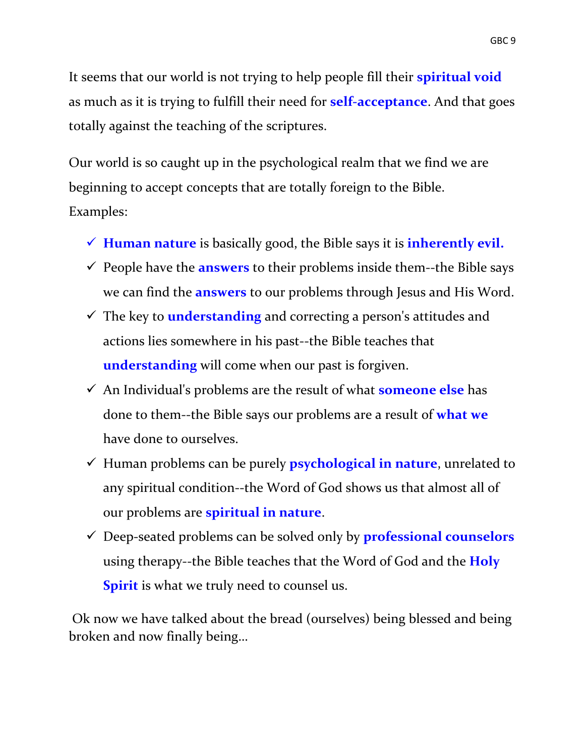It seems that our world is not trying to help people fill their **spiritual void** as much as it is trying to fulfill their need for **self-acceptance**. And that goes totally against the teaching of the scriptures.

Our world is so caught up in the psychological realm that we find we are beginning to accept concepts that are totally foreign to the Bible. Examples:

- **Human nature** is basically good, the Bible says it is **inherently evil.**
- $\checkmark$  People have the **answers** to their problems inside them--the Bible says we can find the **answers** to our problems through Jesus and His Word.
- The key to **understanding** and correcting a person's attitudes and actions lies somewhere in his past--the Bible teaches that **understanding** will come when our past is forgiven.
- An Individual's problems are the result of what **someone else** has done to them--the Bible says our problems are a result of **what we** have done to ourselves.
- Human problems can be purely **psychological in nature**, unrelated to any spiritual condition--the Word of God shows us that almost all of our problems are **spiritual in nature**.
- Deep-seated problems can be solved only by **professional counselors** using therapy--the Bible teaches that the Word of God and the **Holy Spirit** is what we truly need to counsel us.

Ok now we have talked about the bread (ourselves) being blessed and being broken and now finally being…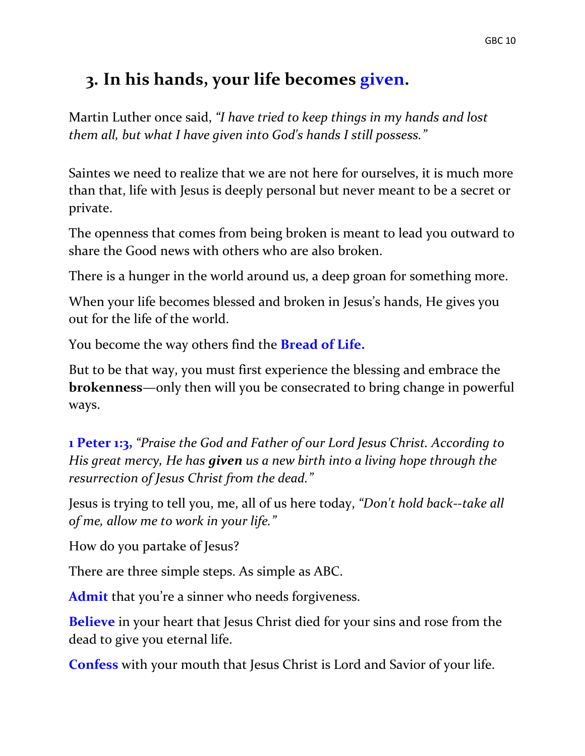### **3. In his hands, your life becomes given.**

Martin Luther once said, *"I have tried to keep things in my hands and lost them all, but what I have given into God's hands I still possess."*

Saintes we need to realize that we are not here for ourselves, it is much more than that, life with Jesus is deeply personal but never meant to be a secret or private.

The openness that comes from being broken is meant to lead you outward to share the Good news with others who are also broken.

There is a hunger in the world around us, a deep groan for something more.

When your life becomes blessed and broken in Jesus's hands, He gives you out for the life of the world.

You become the way others find the **Bread of Life.** 

But to be that way, you must first experience the blessing and embrace the **brokenness**—only then will you be consecrated to bring change in powerful ways.

**1 Peter 1:3,** *"Praise the God and Father of our Lord Jesus Christ. According to His great mercy, He has given us a new birth into a living hope through the resurrection of Jesus Christ from the dead."* 

Jesus is trying to tell you, me, all of us here today, *"Don't hold back--take all of me, allow me to work in your life."*

How do you partake of Jesus?

There are three simple steps. As simple as ABC.

**Admit** that you're a sinner who needs forgiveness.

**Believe** in your heart that Jesus Christ died for your sins and rose from the dead to give you eternal life.

**Confess** with your mouth that Jesus Christ is Lord and Savior of your life.